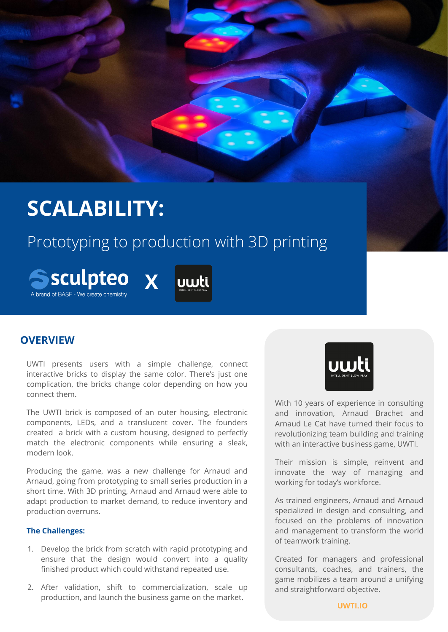# **SCALABILITY:**

## Prototyping to production with 3D printing





### **OVERVIEW**

UWTI presents users with a simple challenge, connect interactive bricks to display the same color. There's just one complication, the bricks change color depending on how you connect them.

The UWTI brick is composed of an outer housing, electronic components, LEDs, and a translucent cover. The founders created a brick with a custom housing, designed to perfectly match the electronic components while ensuring a sleak, modern look.

Producing the game, was a new challenge for Arnaud and Arnaud, going from prototyping to small series production in a short time. With 3D printing, Arnaud and Arnaud were able to adapt production to market demand, to reduce inventory and production overruns.

#### **The Challenges:**

- 1. Develop the brick from scratch with rapid prototyping and ensure that the design would convert into a quality finished product which could withstand repeated use.
- 2. After validation, shift to commercialization, scale up production, and launch the business game on the market.



With 10 years of experience in consulting and innovation, Arnaud Brachet and Arnaud Le Cat have turned their focus to revolutionizing team building and training with an interactive business game, UWTI.

Their mission is simple, reinvent and innovate the way of managing and working for today's workforce.

As trained engineers, Arnaud and Arnaud specialized in design and consulting, and focused on the problems of innovation and management to transform the world of teamwork training.

Created for managers and professional consultants, coaches, and trainers, the game mobilizes a team around a unifying and straightforward objective.